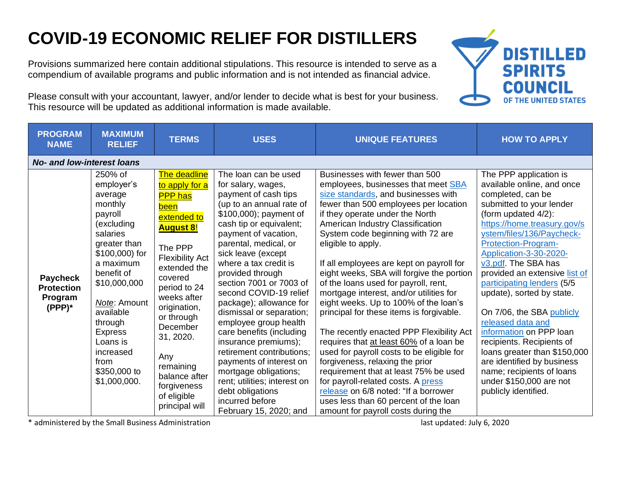## **COVID-19 ECONOMIC RELIEF FOR DISTILLERS**

Provisions summarized here contain additional stipulations. This resource is intended to serve as a compendium of available programs and public information and is not intended as financial advice.

**DISTILLED SPIRITS** OF THE UNITED STATES

Please consult with your accountant, lawyer, and/or lender to decide what is best for your business. This resource will be updated as additional information is made available.

| <b>PROGRAM</b><br><b>NAME</b>                                | <b>MAXIMUM</b><br><b>RELIEF</b>                                                                                                                                                                                                                                                          | <b>TERMS</b>                                                                                                                                                                                                                                                                                                                           | <b>USES</b>                                                                                                                                                                                                                                                                                                                                                                                                                                                                                                                                                                                                                                        | <b>UNIQUE FEATURES</b>                                                                                                                                                                                                                                                                                                                                                                                                                                                                                                                                                                                                                                                                                                                                                                                                                                                                                                                 | <b>HOW TO APPLY</b>                                                                                                                                                                                                                                                                                                                                                                                                                                                                                                                                                                                                  |  |  |  |
|--------------------------------------------------------------|------------------------------------------------------------------------------------------------------------------------------------------------------------------------------------------------------------------------------------------------------------------------------------------|----------------------------------------------------------------------------------------------------------------------------------------------------------------------------------------------------------------------------------------------------------------------------------------------------------------------------------------|----------------------------------------------------------------------------------------------------------------------------------------------------------------------------------------------------------------------------------------------------------------------------------------------------------------------------------------------------------------------------------------------------------------------------------------------------------------------------------------------------------------------------------------------------------------------------------------------------------------------------------------------------|----------------------------------------------------------------------------------------------------------------------------------------------------------------------------------------------------------------------------------------------------------------------------------------------------------------------------------------------------------------------------------------------------------------------------------------------------------------------------------------------------------------------------------------------------------------------------------------------------------------------------------------------------------------------------------------------------------------------------------------------------------------------------------------------------------------------------------------------------------------------------------------------------------------------------------------|----------------------------------------------------------------------------------------------------------------------------------------------------------------------------------------------------------------------------------------------------------------------------------------------------------------------------------------------------------------------------------------------------------------------------------------------------------------------------------------------------------------------------------------------------------------------------------------------------------------------|--|--|--|
| <b>No- and low-interest loans</b>                            |                                                                                                                                                                                                                                                                                          |                                                                                                                                                                                                                                                                                                                                        |                                                                                                                                                                                                                                                                                                                                                                                                                                                                                                                                                                                                                                                    |                                                                                                                                                                                                                                                                                                                                                                                                                                                                                                                                                                                                                                                                                                                                                                                                                                                                                                                                        |                                                                                                                                                                                                                                                                                                                                                                                                                                                                                                                                                                                                                      |  |  |  |
| <b>Paycheck</b><br><b>Protection</b><br>Program<br>$(PPP)^*$ | 250% of<br>employer's<br>average<br>monthly<br>payroll<br>(excluding<br>salaries<br>greater than<br>\$100,000) for<br>a maximum<br>benefit of<br>\$10,000,000<br>Note: Amount<br>available<br>through<br><b>Express</b><br>Loans is<br>increased<br>from<br>\$350,000 to<br>\$1,000,000. | The deadline<br>to apply for a<br><b>PPP</b> has<br>been<br>extended to<br><u>August 8!</u><br>The PPP<br><b>Flexibility Act</b><br>extended the<br>covered<br>period to 24<br>weeks after<br>origination,<br>or through<br>December<br>31, 2020.<br>Any<br>remaining<br>balance after<br>forgiveness<br>of eligible<br>principal will | The loan can be used<br>for salary, wages,<br>payment of cash tips<br>(up to an annual rate of<br>\$100,000); payment of<br>cash tip or equivalent;<br>payment of vacation,<br>parental, medical, or<br>sick leave (except<br>where a tax credit is<br>provided through<br>section 7001 or 7003 of<br>second COVID-19 relief<br>package); allowance for<br>dismissal or separation;<br>employee group health<br>care benefits (including<br>insurance premiums);<br>retirement contributions;<br>payments of interest on<br>mortgage obligations;<br>rent; utilities; interest on<br>debt obligations<br>incurred before<br>February 15, 2020; and | Businesses with fewer than 500<br>employees, businesses that meet SBA<br>size standards, and businesses with<br>fewer than 500 employees per location<br>if they operate under the North<br>American Industry Classification<br>System code beginning with 72 are<br>eligible to apply.<br>If all employees are kept on payroll for<br>eight weeks, SBA will forgive the portion<br>of the loans used for payroll, rent,<br>mortgage interest, and/or utilities for<br>eight weeks. Up to 100% of the loan's<br>principal for these items is forgivable.<br>The recently enacted PPP Flexibility Act<br>requires that at least 60% of a loan be<br>used for payroll costs to be eligible for<br>forgiveness, relaxing the prior<br>requirement that at least 75% be used<br>for payroll-related costs. A press<br>release on 6/8 noted: "If a borrower<br>uses less than 60 percent of the loan<br>amount for payroll costs during the | The PPP application is<br>available online, and once<br>completed, can be<br>submitted to your lender<br>(form updated 4/2):<br>https://home.treasury.gov/s<br>ystem/files/136/Paycheck-<br>Protection-Program-<br>Application-3-30-2020-<br>v3.pdf. The SBA has<br>provided an extensive list of<br>participating lenders (5/5<br>update), sorted by state.<br>On 7/06, the SBA publicly<br>released data and<br>information on PPP loan<br>recipients. Recipients of<br>loans greater than \$150,000<br>are identified by business<br>name; recipients of loans<br>under \$150,000 are not<br>publicly identified. |  |  |  |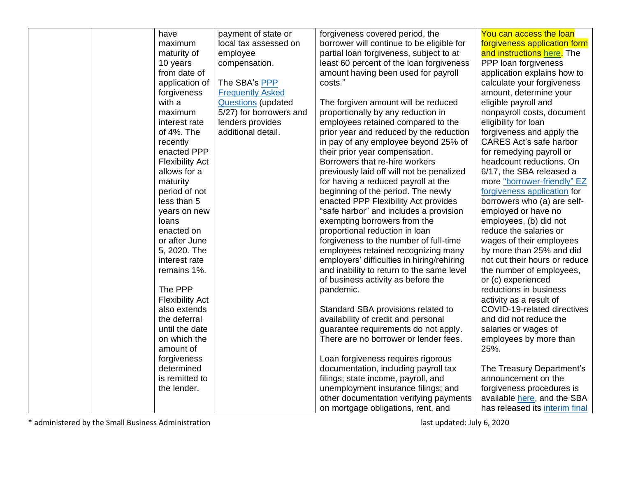|  | have                   | payment of state or       | forgiveness covered period, the            | You can access the loan        |
|--|------------------------|---------------------------|--------------------------------------------|--------------------------------|
|  | maximum                | local tax assessed on     | borrower will continue to be eligible for  | forgiveness application form   |
|  | maturity of            | employee                  | partial loan forgiveness, subject to at    | and instructions here. The     |
|  | 10 years               | compensation.             | least 60 percent of the loan forgiveness   | PPP loan forgiveness           |
|  | from date of           |                           | amount having been used for payroll        | application explains how to    |
|  | application of         | The SBA's PPP             | costs."                                    | calculate your forgiveness     |
|  | forgiveness            | <b>Frequently Asked</b>   |                                            | amount, determine your         |
|  | with a                 | <b>Questions</b> (updated | The forgiven amount will be reduced        | eligible payroll and           |
|  | maximum                | 5/27) for borrowers and   | proportionally by any reduction in         | nonpayroll costs, document     |
|  | interest rate          | lenders provides          | employees retained compared to the         | eligibility for loan           |
|  | of 4%. The             | additional detail.        | prior year and reduced by the reduction    | forgiveness and apply the      |
|  | recently               |                           | in pay of any employee beyond 25% of       | <b>CARES Act's safe harbor</b> |
|  | enacted PPP            |                           | their prior year compensation.             | for remedying payroll or       |
|  | <b>Flexibility Act</b> |                           | Borrowers that re-hire workers             | headcount reductions. On       |
|  | allows for a           |                           | previously laid off will not be penalized  | 6/17, the SBA released a       |
|  | maturity               |                           | for having a reduced payroll at the        | more "borrower-friendly" EZ    |
|  | period of not          |                           | beginning of the period. The newly         | forgiveness application for    |
|  | less than 5            |                           | enacted PPP Flexibility Act provides       | borrowers who (a) are self-    |
|  | years on new           |                           | "safe harbor" and includes a provision     | employed or have no            |
|  | loans                  |                           | exempting borrowers from the               | employees, (b) did not         |
|  | enacted on             |                           | proportional reduction in loan             | reduce the salaries or         |
|  | or after June          |                           | forgiveness to the number of full-time     | wages of their employees       |
|  | 5, 2020. The           |                           | employees retained recognizing many        | by more than 25% and did       |
|  | interest rate          |                           | employers' difficulties in hiring/rehiring | not cut their hours or reduce  |
|  | remains 1%.            |                           | and inability to return to the same level  | the number of employees,       |
|  |                        |                           | of business activity as before the         | or (c) experienced             |
|  | The PPP                |                           | pandemic.                                  | reductions in business         |
|  | <b>Flexibility Act</b> |                           |                                            | activity as a result of        |
|  | also extends           |                           | Standard SBA provisions related to         | COVID-19-related directives    |
|  | the deferral           |                           | availability of credit and personal        | and did not reduce the         |
|  | until the date         |                           | guarantee requirements do not apply.       | salaries or wages of           |
|  | on which the           |                           | There are no borrower or lender fees.      | employees by more than         |
|  | amount of              |                           |                                            | 25%.                           |
|  | forgiveness            |                           | Loan forgiveness requires rigorous         |                                |
|  | determined             |                           | documentation, including payroll tax       | The Treasury Department's      |
|  | is remitted to         |                           | filings; state income, payroll, and        | announcement on the            |
|  | the lender.            |                           | unemployment insurance filings; and        | forgiveness procedures is      |
|  |                        |                           | other documentation verifying payments     | available here, and the SBA    |
|  |                        |                           | on mortgage obligations, rent, and         | has released its interim final |
|  |                        |                           |                                            |                                |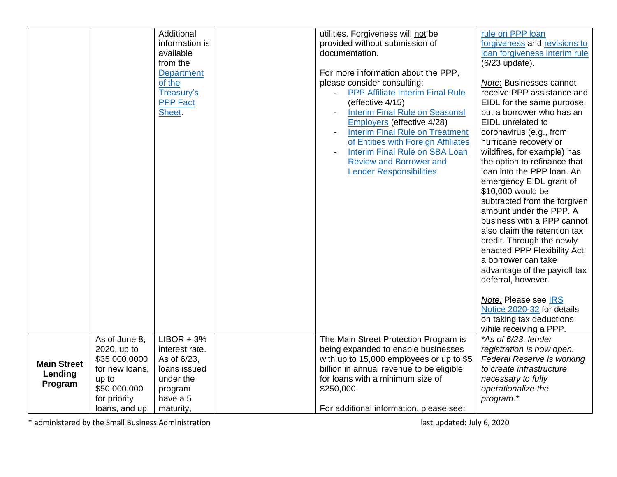|                    |                | Additional        | utilities. Forgiveness will not be       | rule on PPP loan                  |
|--------------------|----------------|-------------------|------------------------------------------|-----------------------------------|
|                    |                | information is    | provided without submission of           | forgiveness and revisions to      |
|                    |                | available         | documentation.                           | loan forgiveness interim rule     |
|                    |                | from the          |                                          | (6/23 update).                    |
|                    |                | <b>Department</b> | For more information about the PPP,      |                                   |
|                    |                | of the            | please consider consulting:              | Note: Businesses cannot           |
|                    |                | Treasury's        | <b>PPP Affiliate Interim Final Rule</b>  | receive PPP assistance and        |
|                    |                | <b>PPP Fact</b>   | (effective 4/15)                         | EIDL for the same purpose,        |
|                    |                | Sheet.            | <b>Interim Final Rule on Seasonal</b>    | but a borrower who has an         |
|                    |                |                   | Employers (effective 4/28)               | EIDL unrelated to                 |
|                    |                |                   | <b>Interim Final Rule on Treatment</b>   | coronavirus (e.g., from           |
|                    |                |                   | of Entities with Foreign Affiliates      | hurricane recovery or             |
|                    |                |                   | <b>Interim Final Rule on SBA Loan</b>    | wildfires, for example) has       |
|                    |                |                   | <b>Review and Borrower and</b>           | the option to refinance that      |
|                    |                |                   | <b>Lender Responsibilities</b>           | loan into the PPP loan. An        |
|                    |                |                   |                                          | emergency EIDL grant of           |
|                    |                |                   |                                          | \$10,000 would be                 |
|                    |                |                   |                                          | subtracted from the forgiven      |
|                    |                |                   |                                          | amount under the PPP. A           |
|                    |                |                   |                                          | business with a PPP cannot        |
|                    |                |                   |                                          | also claim the retention tax      |
|                    |                |                   |                                          | credit. Through the newly         |
|                    |                |                   |                                          | enacted PPP Flexibility Act,      |
|                    |                |                   |                                          | a borrower can take               |
|                    |                |                   |                                          | advantage of the payroll tax      |
|                    |                |                   |                                          | deferral, however.                |
|                    |                |                   |                                          |                                   |
|                    |                |                   |                                          | Note: Please see IRS              |
|                    |                |                   |                                          | Notice 2020-32 for details        |
|                    |                |                   |                                          | on taking tax deductions          |
|                    |                |                   |                                          | while receiving a PPP.            |
|                    | As of June 8,  | $LIBOR + 3%$      | The Main Street Protection Program is    | *As of 6/23, lender               |
|                    | 2020, up to    | interest rate.    | being expanded to enable businesses      | registration is now open.         |
| <b>Main Street</b> | \$35,000,0000  | As of 6/23,       | with up to 15,000 employees or up to \$5 | <b>Federal Reserve is working</b> |
| Lending            | for new loans, | loans issued      | billion in annual revenue to be eligible | to create infrastructure          |
| Program            | up to          | under the         | for loans with a minimum size of         | necessary to fully                |
|                    | \$50,000,000   | program           | \$250,000.                               | operationalize the                |
|                    | for priority   | have a 5          |                                          | program.*                         |
|                    | loans, and up  | maturity,         | For additional information, please see:  |                                   |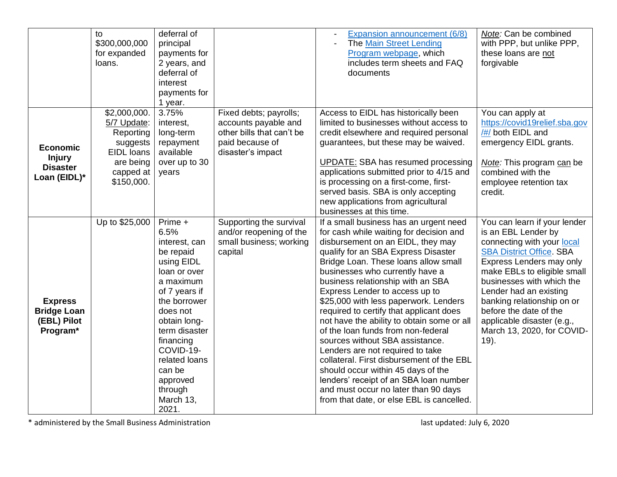|                                                                     | to<br>\$300,000,000<br>for expanded<br>loans.                                                              | deferral of<br>principal<br>payments for<br>2 years, and<br>deferral of<br>interest<br>payments for<br>1 year.                                                                                                                                                           |                                                                                                                     | Expansion announcement (6/8)<br><b>The Main Street Lending</b><br>Program webpage, which<br>includes term sheets and FAQ<br>documents                                                                                                                                                                                                                                                                                                                                                                                                                                                                                                                                                                                                                                            | Note: Can be combined<br>with PPP, but unlike PPP,<br>these loans are not<br>forgivable                                                                                                                                                                                                                                                                               |
|---------------------------------------------------------------------|------------------------------------------------------------------------------------------------------------|--------------------------------------------------------------------------------------------------------------------------------------------------------------------------------------------------------------------------------------------------------------------------|---------------------------------------------------------------------------------------------------------------------|----------------------------------------------------------------------------------------------------------------------------------------------------------------------------------------------------------------------------------------------------------------------------------------------------------------------------------------------------------------------------------------------------------------------------------------------------------------------------------------------------------------------------------------------------------------------------------------------------------------------------------------------------------------------------------------------------------------------------------------------------------------------------------|-----------------------------------------------------------------------------------------------------------------------------------------------------------------------------------------------------------------------------------------------------------------------------------------------------------------------------------------------------------------------|
| <b>Economic</b><br><b>Injury</b><br><b>Disaster</b><br>Loan (EIDL)* | \$2,000,000.<br>5/7 Update:<br>Reporting<br>suggests<br>EIDL Ioans<br>are being<br>capped at<br>\$150,000. | 3.75%<br>interest,<br>long-term<br>repayment<br>available<br>over up to 30<br>years                                                                                                                                                                                      | Fixed debts; payrolls;<br>accounts payable and<br>other bills that can't be<br>paid because of<br>disaster's impact | Access to EIDL has historically been<br>limited to businesses without access to<br>credit elsewhere and required personal<br>guarantees, but these may be waived.<br><b>UPDATE: SBA has resumed processing</b><br>applications submitted prior to 4/15 and<br>is processing on a first-come, first-<br>served basis. SBA is only accepting<br>new applications from agricultural<br>businesses at this time.                                                                                                                                                                                                                                                                                                                                                                     | You can apply at<br>https://covid19relief.sba.gov<br>/#/ both EIDL and<br>emergency EIDL grants.<br>Note: This program can be<br>combined with the<br>employee retention tax<br>credit.                                                                                                                                                                               |
| <b>Express</b><br><b>Bridge Loan</b><br>(EBL) Pilot<br>Program*     | Up to \$25,000                                                                                             | Prime +<br>6.5%<br>interest, can<br>be repaid<br>using EIDL<br>loan or over<br>a maximum<br>of 7 years if<br>the borrower<br>does not<br>obtain long-<br>term disaster<br>financing<br>COVID-19-<br>related loans<br>can be<br>approved<br>through<br>March 13,<br>2021. | Supporting the survival<br>and/or reopening of the<br>small business; working<br>capital                            | If a small business has an urgent need<br>for cash while waiting for decision and<br>disbursement on an EIDL, they may<br>qualify for an SBA Express Disaster<br>Bridge Loan. These loans allow small<br>businesses who currently have a<br>business relationship with an SBA<br>Express Lender to access up to<br>\$25,000 with less paperwork. Lenders<br>required to certify that applicant does<br>not have the ability to obtain some or all<br>of the loan funds from non-federal<br>sources without SBA assistance.<br>Lenders are not required to take<br>collateral. First disbursement of the EBL<br>should occur within 45 days of the<br>lenders' receipt of an SBA loan number<br>and must occur no later than 90 days<br>from that date, or else EBL is cancelled. | You can learn if your lender<br>is an EBL Lender by<br>connecting with your local<br><b>SBA District Office. SBA</b><br>Express Lenders may only<br>make EBLs to eligible small<br>businesses with which the<br>Lender had an existing<br>banking relationship on or<br>before the date of the<br>applicable disaster (e.g.,<br>March 13, 2020, for COVID-<br>$19$ ). |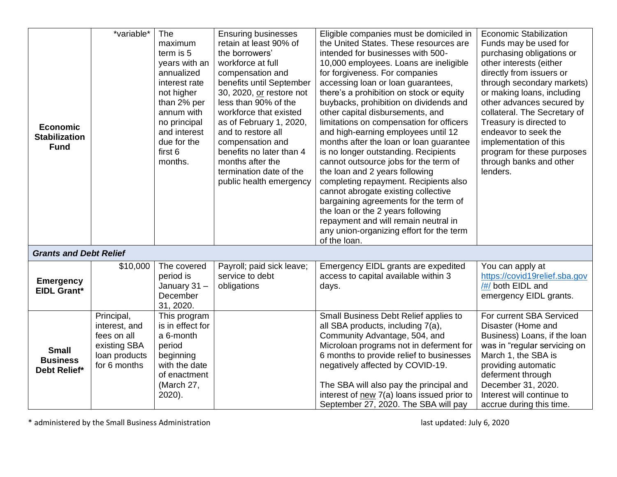|                               | *variable*    | <b>The</b>                   | <b>Ensuring businesses</b>                    | Eligible companies must be domiciled in                                               | <b>Economic Stabilization</b>                   |
|-------------------------------|---------------|------------------------------|-----------------------------------------------|---------------------------------------------------------------------------------------|-------------------------------------------------|
|                               |               | maximum                      | retain at least 90% of                        | the United States. These resources are                                                | Funds may be used for                           |
|                               |               | term is 5                    | the borrowers'                                | intended for businesses with 500-                                                     | purchasing obligations or                       |
|                               |               | years with an                | workforce at full                             | 10,000 employees. Loans are ineligible                                                | other interests (either                         |
|                               |               | annualized                   | compensation and                              | for forgiveness. For companies                                                        | directly from issuers or                        |
|                               |               | interest rate                | benefits until September                      | accessing loan or loan guarantees,                                                    | through secondary markets)                      |
|                               |               | not higher                   | 30, 2020, or restore not                      | there's a prohibition on stock or equity                                              | or making loans, including                      |
|                               |               | than 2% per                  | less than 90% of the                          | buybacks, prohibition on dividends and                                                | other advances secured by                       |
|                               |               | annum with                   | workforce that existed                        | other capital disbursements, and                                                      | collateral. The Secretary of                    |
| <b>Economic</b>               |               | no principal<br>and interest | as of February 1, 2020,<br>and to restore all | limitations on compensation for officers<br>and high-earning employees until 12       | Treasury is directed to<br>endeavor to seek the |
| <b>Stabilization</b>          |               | due for the                  | compensation and                              | months after the loan or loan guarantee                                               | implementation of this                          |
| <b>Fund</b>                   |               | first 6                      | benefits no later than 4                      | is no longer outstanding. Recipients                                                  | program for these purposes                      |
|                               |               | months.                      | months after the                              | cannot outsource jobs for the term of                                                 | through banks and other                         |
|                               |               |                              | termination date of the                       | the loan and 2 years following                                                        | lenders.                                        |
|                               |               |                              | public health emergency                       | completing repayment. Recipients also                                                 |                                                 |
|                               |               |                              |                                               | cannot abrogate existing collective                                                   |                                                 |
|                               |               |                              |                                               | bargaining agreements for the term of                                                 |                                                 |
|                               |               |                              |                                               | the loan or the 2 years following                                                     |                                                 |
|                               |               |                              |                                               | repayment and will remain neutral in<br>any union-organizing effort for the term      |                                                 |
|                               |               |                              |                                               | of the loan.                                                                          |                                                 |
| <b>Grants and Debt Relief</b> |               |                              |                                               |                                                                                       |                                                 |
|                               | \$10,000      | The covered                  | Payroll; paid sick leave;                     | Emergency EIDL grants are expedited                                                   | You can apply at                                |
| <b>Emergency</b>              |               | period is                    | service to debt                               | access to capital available within 3                                                  | https://covid19relief.sba.gov                   |
| <b>EIDL Grant*</b>            |               | January 31-                  | obligations                                   | days.                                                                                 | /#/ both EIDL and                               |
|                               |               | December                     |                                               |                                                                                       | emergency EIDL grants.                          |
|                               | Principal,    | 31, 2020.<br>This program    |                                               | Small Business Debt Relief applies to                                                 | For current SBA Serviced                        |
|                               | interest, and | is in effect for             |                                               | all SBA products, including 7(a),                                                     | Disaster (Home and                              |
|                               | fees on all   | a 6-month                    |                                               | Community Advantage, 504, and                                                         | Business) Loans, if the loan                    |
| <b>Small</b>                  | existing SBA  | period                       |                                               | Microloan programs not in deferment for                                               | was in "regular servicing on                    |
| <b>Business</b>               | loan products | beginning                    |                                               | 6 months to provide relief to businesses                                              | March 1, the SBA is                             |
| Debt Relief*                  | for 6 months  | with the date                |                                               | negatively affected by COVID-19.                                                      | providing automatic                             |
|                               |               | of enactment                 |                                               |                                                                                       | deferment through                               |
|                               |               | (March 27,<br>2020).         |                                               | The SBA will also pay the principal and<br>interest of new 7(a) loans issued prior to | December 31, 2020.<br>Interest will continue to |
|                               |               |                              |                                               | September 27, 2020. The SBA will pay                                                  | accrue during this time.                        |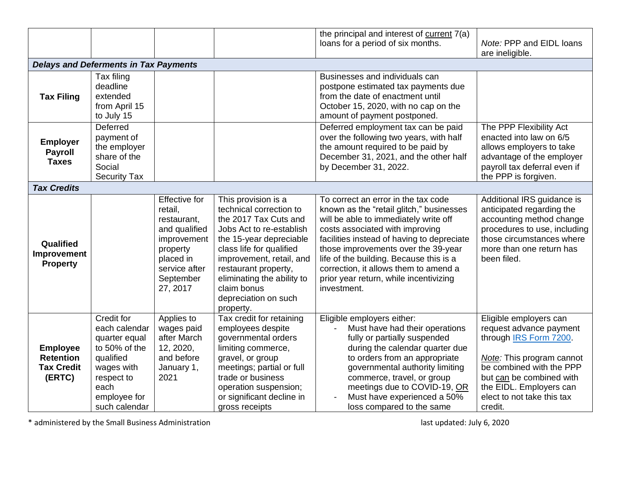|                                                                    |                                                                                                                                                 |                                                                                                                                                   |                                                                                                                                                                                                                                                                                                  | the principal and interest of current 7(a)<br>loans for a period of six months.                                                                                                                                                                                                                                                                                                               | Note: PPP and EIDL loans                                                                                                                                                                                                             |  |  |  |
|--------------------------------------------------------------------|-------------------------------------------------------------------------------------------------------------------------------------------------|---------------------------------------------------------------------------------------------------------------------------------------------------|--------------------------------------------------------------------------------------------------------------------------------------------------------------------------------------------------------------------------------------------------------------------------------------------------|-----------------------------------------------------------------------------------------------------------------------------------------------------------------------------------------------------------------------------------------------------------------------------------------------------------------------------------------------------------------------------------------------|--------------------------------------------------------------------------------------------------------------------------------------------------------------------------------------------------------------------------------------|--|--|--|
|                                                                    |                                                                                                                                                 |                                                                                                                                                   |                                                                                                                                                                                                                                                                                                  |                                                                                                                                                                                                                                                                                                                                                                                               | are ineligible.                                                                                                                                                                                                                      |  |  |  |
|                                                                    | <b>Delays and Deferments in Tax Payments</b>                                                                                                    |                                                                                                                                                   |                                                                                                                                                                                                                                                                                                  |                                                                                                                                                                                                                                                                                                                                                                                               |                                                                                                                                                                                                                                      |  |  |  |
| <b>Tax Filing</b>                                                  | Tax filing<br>deadline<br>extended<br>from April 15<br>to July 15                                                                               |                                                                                                                                                   |                                                                                                                                                                                                                                                                                                  | Businesses and individuals can<br>postpone estimated tax payments due<br>from the date of enactment until<br>October 15, 2020, with no cap on the<br>amount of payment postponed.                                                                                                                                                                                                             |                                                                                                                                                                                                                                      |  |  |  |
| <b>Employer</b><br><b>Payroll</b><br><b>Taxes</b>                  | <b>Deferred</b><br>payment of<br>the employer<br>share of the<br>Social<br><b>Security Tax</b>                                                  |                                                                                                                                                   |                                                                                                                                                                                                                                                                                                  | Deferred employment tax can be paid<br>over the following two years, with half<br>the amount required to be paid by<br>December 31, 2021, and the other half<br>by December 31, 2022.                                                                                                                                                                                                         | The PPP Flexibility Act<br>enacted into law on 6/5<br>allows employers to take<br>advantage of the employer<br>payroll tax deferral even if<br>the PPP is forgiven.                                                                  |  |  |  |
| <b>Tax Credits</b>                                                 |                                                                                                                                                 |                                                                                                                                                   |                                                                                                                                                                                                                                                                                                  |                                                                                                                                                                                                                                                                                                                                                                                               |                                                                                                                                                                                                                                      |  |  |  |
| Qualified<br>Improvement<br><b>Property</b>                        |                                                                                                                                                 | <b>Effective</b> for<br>retail,<br>restaurant,<br>and qualified<br>improvement<br>property<br>placed in<br>service after<br>September<br>27, 2017 | This provision is a<br>technical correction to<br>the 2017 Tax Cuts and<br>Jobs Act to re-establish<br>the 15-year depreciable<br>class life for qualified<br>improvement, retail, and<br>restaurant property,<br>eliminating the ability to<br>claim bonus<br>depreciation on such<br>property. | To correct an error in the tax code<br>known as the "retail glitch," businesses<br>will be able to immediately write off<br>costs associated with improving<br>facilities instead of having to depreciate<br>those improvements over the 39-year<br>life of the building. Because this is a<br>correction, it allows them to amend a<br>prior year return, while incentivizing<br>investment. | Additional IRS guidance is<br>anticipated regarding the<br>accounting method change<br>procedures to use, including<br>those circumstances where<br>more than one return has<br>been filed.                                          |  |  |  |
| <b>Employee</b><br><b>Retention</b><br><b>Tax Credit</b><br>(ERTC) | Credit for<br>each calendar<br>quarter equal<br>to 50% of the<br>qualified<br>wages with<br>respect to<br>each<br>employee for<br>such calendar | Applies to<br>wages paid<br>after March<br>12, 2020,<br>and before<br>January 1,<br>2021                                                          | Tax credit for retaining<br>employees despite<br>governmental orders<br>limiting commerce,<br>gravel, or group<br>meetings; partial or full<br>trade or business<br>operation suspension;<br>or significant decline in<br>gross receipts                                                         | Eligible employers either:<br>Must have had their operations<br>fully or partially suspended<br>during the calendar quarter due<br>to orders from an appropriate<br>governmental authority limiting<br>commerce, travel, or group<br>meetings due to COVID-19, OR<br>Must have experienced a 50%<br>loss compared to the same                                                                 | Eligible employers can<br>request advance payment<br>through IRS Form 7200.<br>Note: This program cannot<br>be combined with the PPP<br>but can be combined with<br>the EIDL. Employers can<br>elect to not take this tax<br>credit. |  |  |  |